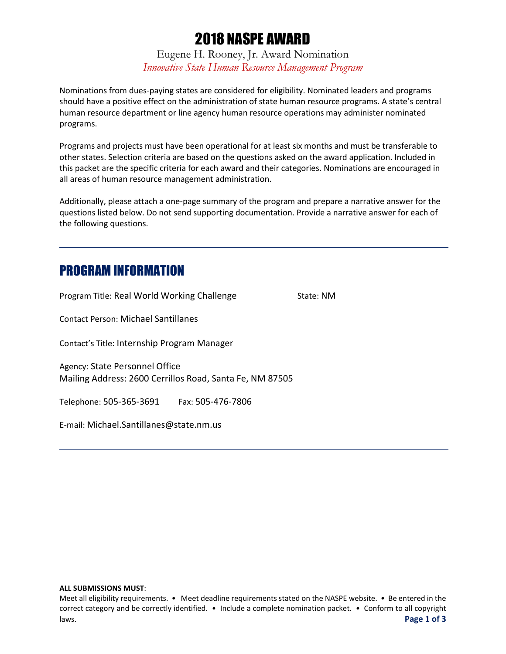# 2018 NASPE AWARD

Eugene H. Rooney, Jr. Award Nomination *Innovative State Human Resource Management Program*

Nominations from dues-paying states are considered for eligibility. Nominated leaders and programs should have a positive effect on the administration of state human resource programs. A state's central human resource department or line agency human resource operations may administer nominated programs.

Programs and projects must have been operational for at least six months and must be transferable to other states. Selection criteria are based on the questions asked on the award application. Included in this packet are the specific criteria for each award and their categories. Nominations are encouraged in all areas of human resource management administration.

Additionally, please attach a one-page summary of the program and prepare a narrative answer for the questions listed below. Do not send supporting documentation. Provide a narrative answer for each of the following questions.

## PROGRAM INFORMATION

Program Title: Real World Working Challenge State: NM

Contact Person: Michael Santillanes

Contact's Title: Internship Program Manager

Agency: State Personnel Office Mailing Address: 2600 Cerrillos Road, Santa Fe, NM 87505

Telephone: 505-365-3691 Fax: 505-476-7806

E-mail: Michael.Santillanes@state.nm.us

#### **ALL SUBMISSIONS MUST**:

Meet all eligibility requirements. • Meet deadline requirements stated on the NASPE website. • Be entered in the correct category and be correctly identified. • Include a complete nomination packet. • Conform to all copyright laws. **Page 1 of 3**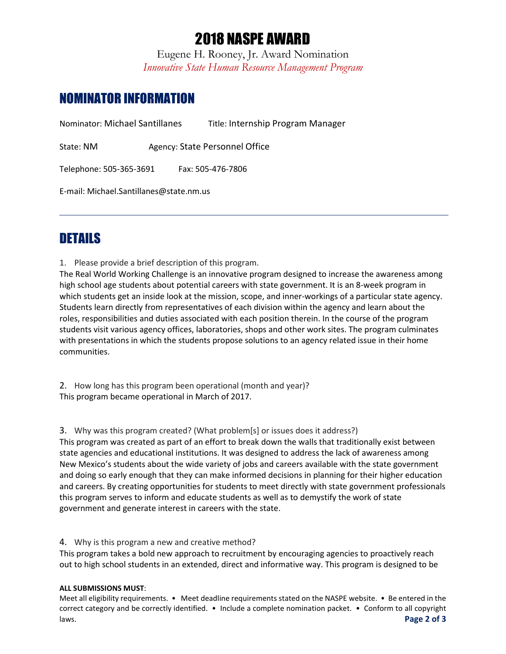# 2018 NASPE AWARD

Eugene H. Rooney, Jr. Award Nomination *Innovative State Human Resource Management Program*

## NOMINATOR INFORMATION

Nominator: Michael Santillanes Title: Internship Program Manager

State: NM Agency: State Personnel Office

Telephone: 505-365-3691 Fax: 505-476-7806

E-mail: Michael.Santillanes@state.nm.us

## **DETAILS**

1. Please provide a brief description of this program.

The Real World Working Challenge is an innovative program designed to increase the awareness among high school age students about potential careers with state government. It is an 8-week program in which students get an inside look at the mission, scope, and inner-workings of a particular state agency. Students learn directly from representatives of each division within the agency and learn about the roles, responsibilities and duties associated with each position therein. In the course of the program students visit various agency offices, laboratories, shops and other work sites. The program culminates with presentations in which the students propose solutions to an agency related issue in their home communities.

2. How long has this program been operational (month and year)? This program became operational in March of 2017.

3. Why was this program created? (What problem[s] or issues does it address?) This program was created as part of an effort to break down the walls that traditionally exist between state agencies and educational institutions. It was designed to address the lack of awareness among New Mexico's students about the wide variety of jobs and careers available with the state government and doing so early enough that they can make informed decisions in planning for their higher education and careers. By creating opportunities for students to meet directly with state government professionals this program serves to inform and educate students as well as to demystify the work of state government and generate interest in careers with the state.

4. Why is this program a new and creative method?

This program takes a bold new approach to recruitment by encouraging agencies to proactively reach out to high school students in an extended, direct and informative way. This program is designed to be

#### **ALL SUBMISSIONS MUST**:

Meet all eligibility requirements. • Meet deadline requirements stated on the NASPE website. • Be entered in the correct category and be correctly identified. • Include a complete nomination packet. • Conform to all copyright laws. **Page 2 of 3**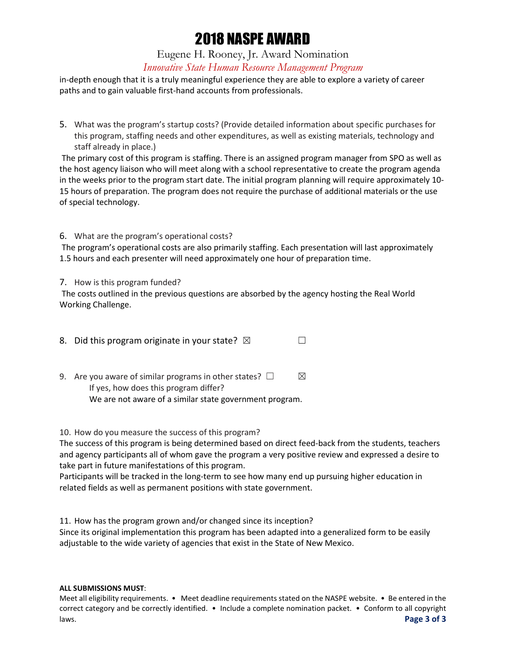# 2018 NASPE AWARD

### Eugene H. Rooney, Jr. Award Nomination *Innovative State Human Resource Management Program*

in-depth enough that it is a truly meaningful experience they are able to explore a variety of career paths and to gain valuable first-hand accounts from professionals.

5. What was the program's startup costs? (Provide detailed information about specific purchases for this program, staffing needs and other expenditures, as well as existing materials, technology and staff already in place.)

The primary cost of this program is staffing. There is an assigned program manager from SPO as well as the host agency liaison who will meet along with a school representative to create the program agenda in the weeks prior to the program start date. The initial program planning will require approximately 10- 15 hours of preparation. The program does not require the purchase of additional materials or the use of special technology.

### 6. What are the program's operational costs?

The program's operational costs are also primarily staffing. Each presentation will last approximately 1.5 hours and each presenter will need approximately one hour of preparation time.

### 7. How is this program funded?

The costs outlined in the previous questions are absorbed by the agency hosting the Real World Working Challenge.

| 8. Did this program originate in your state? $\boxtimes$ |  |
|----------------------------------------------------------|--|
|                                                          |  |

9. Are you aware of similar programs in other states?  $\Box$   $\boxtimes$ If yes, how does this program differ? We are not aware of a similar state government program.

### 10. How do you measure the success of this program?

The success of this program is being determined based on direct feed-back from the students, teachers and agency participants all of whom gave the program a very positive review and expressed a desire to take part in future manifestations of this program.

Participants will be tracked in the long-term to see how many end up pursuing higher education in related fields as well as permanent positions with state government.

11. How has the program grown and/or changed since its inception?

Since its original implementation this program has been adapted into a generalized form to be easily adjustable to the wide variety of agencies that exist in the State of New Mexico.

#### **ALL SUBMISSIONS MUST**:

Meet all eligibility requirements. • Meet deadline requirements stated on the NASPE website. • Be entered in the correct category and be correctly identified. • Include a complete nomination packet. • Conform to all copyright laws. **Page 3 of 3**